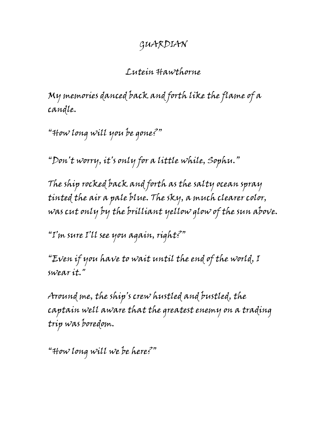## GUARDIAN

## Lutein Hawthorne

My memories danced back and forth like the flame of a candle.

"How long will you be gone?"

"Don't worry, it's only for a little while, Sophu."

The ship rocked back and forth as the salty ocean spray tinted the air a pale blue. The sky, a much clearer color, was cut only by the brilliant yellow glow of the sun above.

"I'm sure I'll see you again, right?"

"Even if you have to wait until the end of the world, I swear it."

Around me, the ship's crew hustled and bustled, the captain well aware that the greatest enemy on a trading trip was boredom.

"How long will we be here?"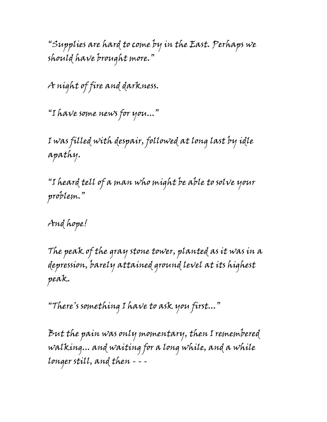"Supplies are hard to come by in the East. Perhaps we should have brought more."

A night of fire and darkness.

"I have some news for you..."

I was filled with despair, followed at long last by idle apathy.

"I heard tell of a man who might be able to solve your problem."

And hope!

The peak of the gray stone tower, planted as it was in a depression, barely attained ground level at its highest peak.

"There's something I have to ask you first..."

But the pain was only momentary, then I remembered walking... and waiting for a long while, and a while longer still, and then - - -